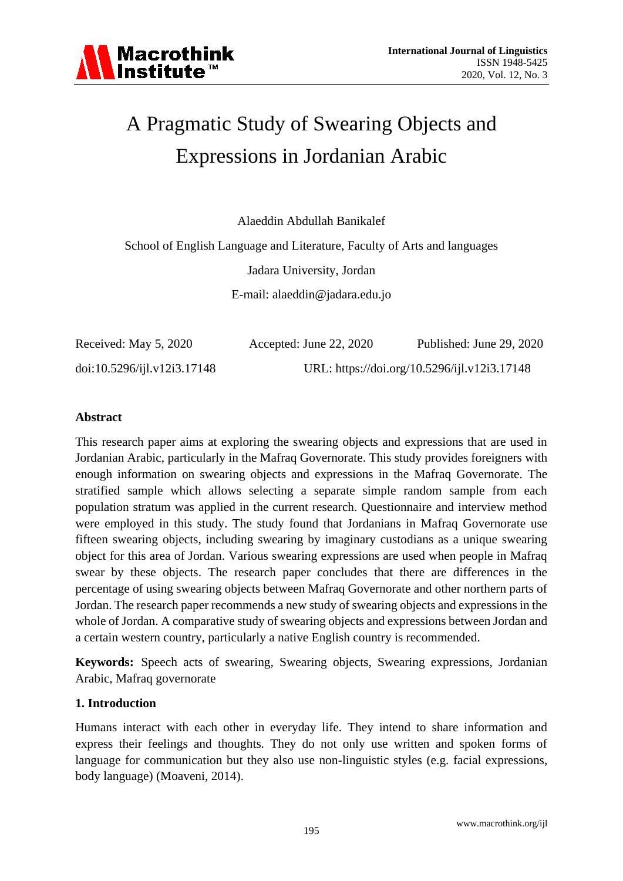

# A Pragmatic Study of Swearing Objects and Expressions in Jordanian Arabic

Alaeddin Abdullah Banikalef

School of English Language and Literature, Faculty of Arts and languages Jadara University, Jordan E-mail: alaeddin@jadara.edu.jo

| Received: May 5, 2020       | Accepted: June $22, 2020$ | Published: June 29, 2020                     |
|-----------------------------|---------------------------|----------------------------------------------|
| doi:10.5296/ijl.v12i3.17148 |                           | URL: https://doi.org/10.5296/ijl.v12i3.17148 |

#### **Abstract**

This research paper aims at exploring the swearing objects and expressions that are used in Jordanian Arabic, particularly in the Mafraq Governorate. This study provides foreigners with enough information on swearing objects and expressions in the Mafraq Governorate. The stratified sample which allows selecting a separate simple random sample from each population stratum was applied in the current research. Questionnaire and interview method were employed in this study. The study found that Jordanians in Mafraq Governorate use fifteen swearing objects, including swearing by imaginary custodians as a unique swearing object for this area of Jordan. Various swearing expressions are used when people in Mafraq swear by these objects. The research paper concludes that there are differences in the percentage of using swearing objects between Mafraq Governorate and other northern parts of Jordan. The research paper recommends a new study of swearing objects and expressions in the whole of Jordan. A comparative study of swearing objects and expressions between Jordan and a certain western country, particularly a native English country is recommended.

**Keywords:** Speech acts of swearing, Swearing objects, Swearing expressions, Jordanian Arabic, Mafraq governorate

#### **1. Introduction**

Humans interact with each other in everyday life. They intend to share information and express their feelings and thoughts. They do not only use written and spoken forms of language for communication but they also use non-linguistic styles (e.g. facial expressions, body language) (Moaveni, 2014).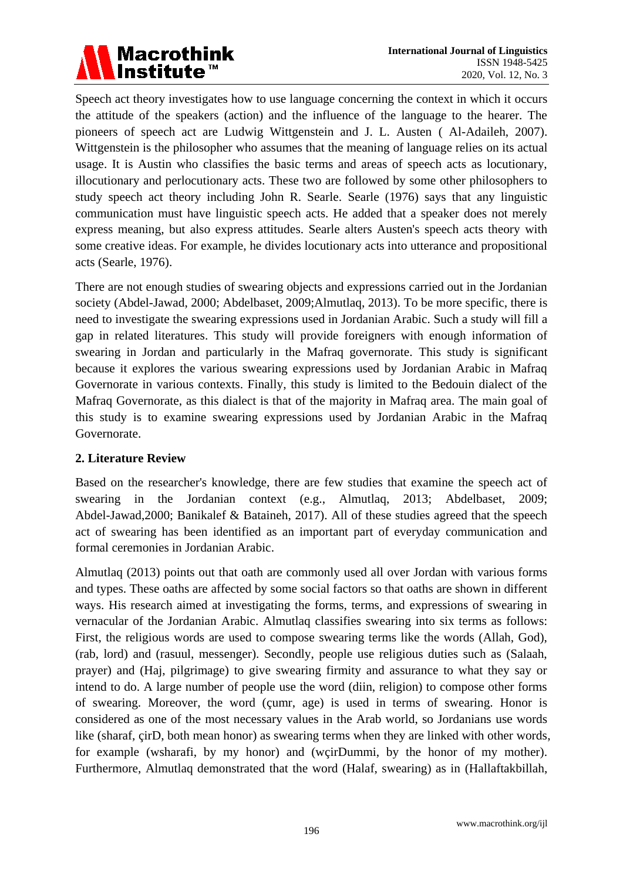

Speech act theory investigates how to use language concerning the context in which it occurs the attitude of the speakers (action) and the influence of the language to the hearer. The pioneers of speech act are Ludwig Wittgenstein and J. L. Austen ( Al-Adaileh, 2007). Wittgenstein is the philosopher who assumes that the meaning of language relies on its actual usage. It is Austin who classifies the basic terms and areas of speech acts as locutionary, illocutionary and perlocutionary acts. These two are followed by some other philosophers to study speech act theory including John R. Searle. Searle (1976) says that any linguistic communication must have linguistic speech acts. He added that a speaker does not merely express meaning, but also express attitudes. Searle alters Austen's speech acts theory with some creative ideas. For example, he divides locutionary acts into utterance and propositional acts (Searle, 1976).

There are not enough studies of swearing objects and expressions carried out in the Jordanian society (Abdel-Jawad, 2000; Abdelbaset, 2009;Almutlaq, 2013). To be more specific, there is need to investigate the swearing expressions used in Jordanian Arabic. Such a study will fill a gap in related literatures. This study will provide foreigners with enough information of swearing in Jordan and particularly in the Mafraq governorate. This study is significant because it explores the various swearing expressions used by Jordanian Arabic in Mafraq Governorate in various contexts. Finally, this study is limited to the Bedouin dialect of the Mafraq Governorate, as this dialect is that of the majority in Mafraq area. The main goal of this study is to examine swearing expressions used by Jordanian Arabic in the Mafraq Governorate.

## **2. Literature Review**

Based on the researcher's knowledge, there are few studies that examine the speech act of swearing in the Jordanian context (e.g., Almutlaq, 2013; Abdelbaset, 2009; Abdel-Jawad,2000; Banikalef & Bataineh, 2017). All of these studies agreed that the speech act of swearing has been identified as an important part of everyday communication and formal ceremonies in Jordanian Arabic.

Almutlaq (2013) points out that oath are commonly used all over Jordan with various forms and types. These oaths are affected by some social factors so that oaths are shown in different ways. His research aimed at investigating the forms, terms, and expressions of swearing in vernacular of the Jordanian Arabic. Almutlaq classifies swearing into six terms as follows: First, the religious words are used to compose swearing terms like the words (Allah, God), (rab, lord) and (rasuul, messenger). Secondly, people use religious duties such as (Salaah, prayer) and (Haj, pilgrimage) to give swearing firmity and assurance to what they say or intend to do. A large number of people use the word (diin, religion) to compose other forms of swearing. Moreover, the word (çumr, age) is used in terms of swearing. Honor is considered as one of the most necessary values in the Arab world, so Jordanians use words like (sharaf, grD, both mean honor) as swearing terms when they are linked with other words, for example (wsharafi, by my honor) and (wçirDummi, by the honor of my mother). Furthermore, Almutlaq demonstrated that the word (Halaf, swearing) as in (Hallaftakbillah,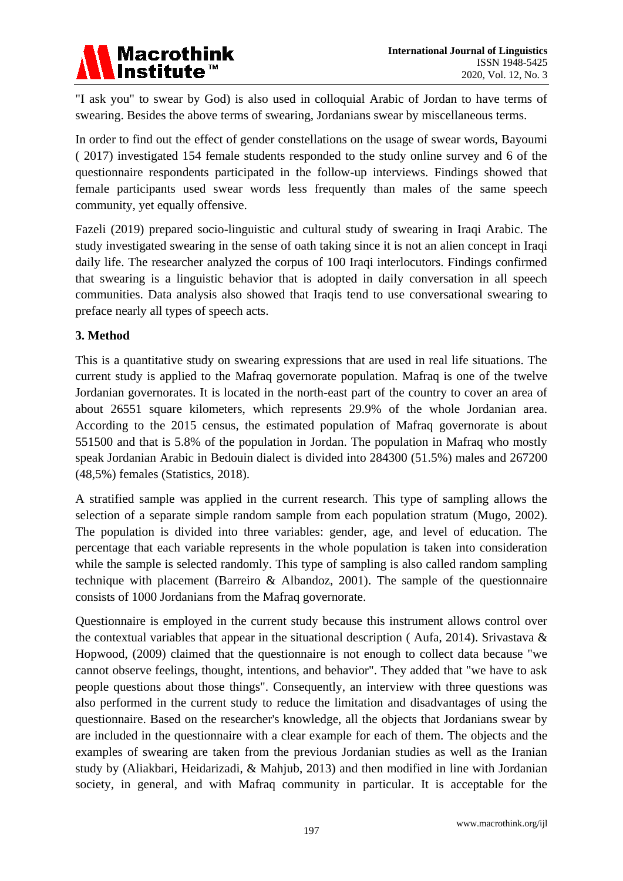

"I ask you" to swear by God) is also used in colloquial Arabic of Jordan to have terms of swearing. Besides the above terms of swearing, Jordanians swear by miscellaneous terms.

In order to find out the effect of gender constellations on the usage of swear words, Bayoumi ( 2017) investigated 154 female students responded to the study online survey and 6 of the questionnaire respondents participated in the follow-up interviews. Findings showed that female participants used swear words less frequently than males of the same speech community, yet equally offensive.

Fazeli (2019) prepared socio-linguistic and cultural study of swearing in Iraqi Arabic. The study investigated swearing in the sense of oath taking since it is not an alien concept in Iraqi daily life. The researcher analyzed the corpus of 100 Iraqi interlocutors. Findings confirmed that swearing is a linguistic behavior that is adopted in daily conversation in all speech communities. Data analysis also showed that Iraqis tend to use conversational swearing to preface nearly all types of speech acts.

#### **3. Method**

This is a quantitative study on swearing expressions that are used in real life situations. The current study is applied to the Mafraq governorate population. Mafraq is one of the twelve Jordanian governorates. It is located in the north-east part of the country to cover an area of about 26551 square kilometers, which represents 29.9% of the whole Jordanian area. According to the 2015 census, the estimated population of Mafraq governorate is about 551500 and that is 5.8% of the population in Jordan. The population in Mafraq who mostly speak Jordanian Arabic in Bedouin dialect is divided into 284300 (51.5%) males and 267200 (48,5%) females (Statistics, 2018).

A stratified sample was applied in the current research. This type of sampling allows the selection of a separate simple random sample from each population stratum (Mugo, 2002). The population is divided into three variables: gender, age, and level of education. The percentage that each variable represents in the whole population is taken into consideration while the sample is selected randomly. This type of sampling is also called random sampling technique with placement (Barreiro & Albandoz, 2001). The sample of the questionnaire consists of 1000 Jordanians from the Mafraq governorate.

Questionnaire is employed in the current study because this instrument allows control over the contextual variables that appear in the situational description (Aufa, 2014). Srivastava  $\&$ Hopwood, (2009) claimed that the questionnaire is not enough to collect data because "we cannot observe feelings, thought, intentions, and behavior". They added that "we have to ask people questions about those things". Consequently, an interview with three questions was also performed in the current study to reduce the limitation and disadvantages of using the questionnaire. Based on the researcher's knowledge, all the objects that Jordanians swear by are included in the questionnaire with a clear example for each of them. The objects and the examples of swearing are taken from the previous Jordanian studies as well as the Iranian study by (Aliakbari, Heidarizadi, & Mahjub, 2013) and then modified in line with Jordanian society, in general, and with Mafraq community in particular. It is acceptable for the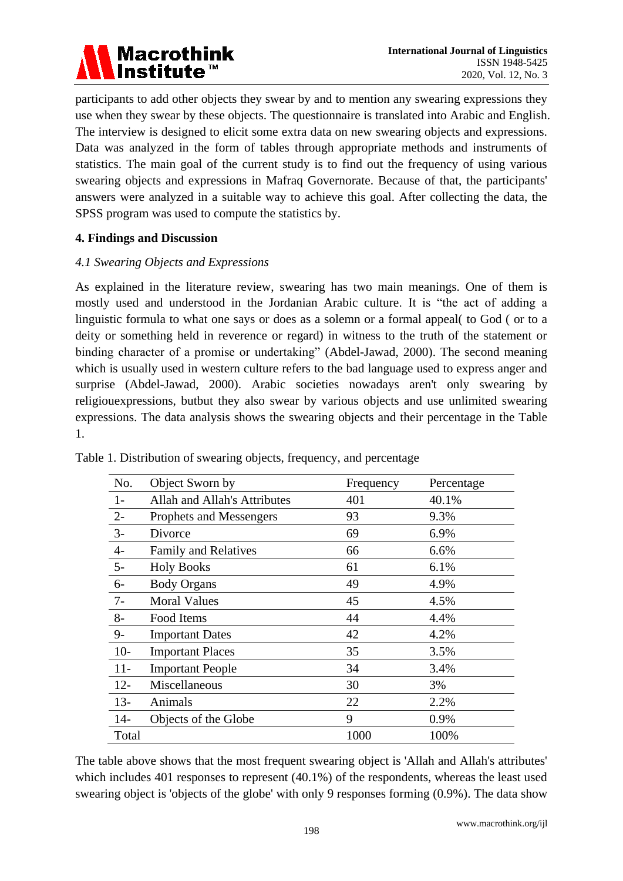

participants to add other objects they swear by and to mention any swearing expressions they use when they swear by these objects. The questionnaire is translated into Arabic and English. The interview is designed to elicit some extra data on new swearing objects and expressions. Data was analyzed in the form of tables through appropriate methods and instruments of statistics. The main goal of the current study is to find out the frequency of using various swearing objects and expressions in Mafraq Governorate. Because of that, the participants' answers were analyzed in a suitable way to achieve this goal. After collecting the data, the SPSS program was used to compute the statistics by.

#### **4. Findings and Discussion**

#### *4.1 Swearing Objects and Expressions*

As explained in the literature review, swearing has two main meanings. One of them is mostly used and understood in the Jordanian Arabic culture. It is "the act of adding a linguistic formula to what one says or does as a solemn or a formal appeal( to God ( or to a deity or something held in reverence or regard) in witness to the truth of the statement or binding character of a promise or undertaking" (Abdel-Jawad, 2000). The second meaning which is usually used in western culture refers to the bad language used to express anger and surprise (Abdel-Jawad, 2000). Arabic societies nowadays aren't only swearing by religiouexpressions, butbut they also swear by various objects and use unlimited swearing expressions. The data analysis shows the swearing objects and their percentage in the Table 1.

| No.    | Object Sworn by              | Frequency | Percentage |
|--------|------------------------------|-----------|------------|
| $1-$   | Allah and Allah's Attributes | 401       | 40.1%      |
| $2 -$  | Prophets and Messengers      | 93        | 9.3%       |
| $3-$   | Divorce                      | 69        | 6.9%       |
| $4-$   | Family and Relatives         | 66        | 6.6%       |
| $5-$   | <b>Holy Books</b>            | 61        | 6.1%       |
| $6-$   | <b>Body Organs</b>           | 49        | 4.9%       |
| 7-     | <b>Moral Values</b>          | 45        | 4.5%       |
| $8-$   | Food Items                   | 44        | 4.4%       |
| $9-$   | <b>Important Dates</b>       | 42        | 4.2%       |
| $10-$  | <b>Important Places</b>      | 35        | 3.5%       |
| $11-$  | <b>Important People</b>      | 34        | 3.4%       |
| $12 -$ | Miscellaneous                | 30        | 3%         |
| $13-$  | Animals                      | 22        | 2.2%       |
| $14-$  | Objects of the Globe         | 9         | 0.9%       |
| Total  |                              | 1000      | 100%       |

Table 1. Distribution of swearing objects, frequency, and percentage

The table above shows that the most frequent swearing object is 'Allah and Allah's attributes' which includes 401 responses to represent (40.1%) of the respondents, whereas the least used swearing object is 'objects of the globe' with only 9 responses forming (0.9%). The data show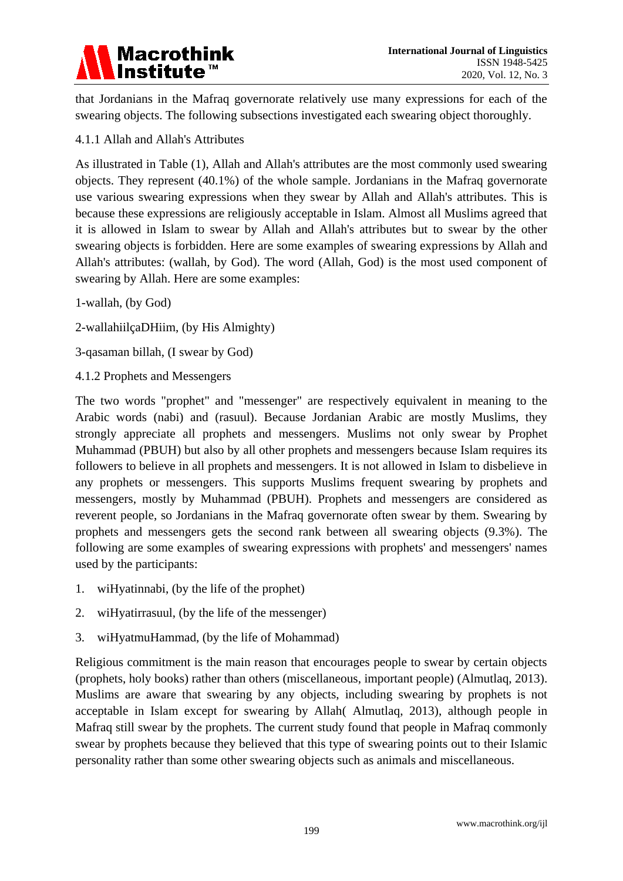

that Jordanians in the Mafraq governorate relatively use many expressions for each of the swearing objects. The following subsections investigated each swearing object thoroughly.

4.1.1 Allah and Allah's Attributes

As illustrated in Table (1), Allah and Allah's attributes are the most commonly used swearing objects. They represent (40.1%) of the whole sample. Jordanians in the Mafraq governorate use various swearing expressions when they swear by Allah and Allah's attributes. This is because these expressions are religiously acceptable in Islam. Almost all Muslims agreed that it is allowed in Islam to swear by Allah and Allah's attributes but to swear by the other swearing objects is forbidden. Here are some examples of swearing expressions by Allah and Allah's attributes: (wallah, by God). The word (Allah, God) is the most used component of swearing by Allah. Here are some examples:

- 1-wallah, (by God)
- 2-wallahiilçaDHiim, (by His Almighty)
- 3-qasaman billah, (I swear by God)
- 4.1.2 Prophets and Messengers

The two words "prophet" and "messenger" are respectively equivalent in meaning to the Arabic words (nabi) and (rasuul). Because Jordanian Arabic are mostly Muslims, they strongly appreciate all prophets and messengers. Muslims not only swear by Prophet Muhammad (PBUH) but also by all other prophets and messengers because Islam requires its followers to believe in all prophets and messengers. It is not allowed in Islam to disbelieve in any prophets or messengers. This supports Muslims frequent swearing by prophets and messengers, mostly by Muhammad (PBUH). Prophets and messengers are considered as reverent people, so Jordanians in the Mafraq governorate often swear by them. Swearing by prophets and messengers gets the second rank between all swearing objects (9.3%). The following are some examples of swearing expressions with prophets' and messengers' names used by the participants:

- 1. wiHyatinnabi, (by the life of the prophet)
- 2. wiHyatirrasuul, (by the life of the messenger)
- 3. wiHyatmuHammad, (by the life of Mohammad)

Religious commitment is the main reason that encourages people to swear by certain objects (prophets, holy books) rather than others (miscellaneous, important people) (Almutlaq, 2013). Muslims are aware that swearing by any objects, including swearing by prophets is not acceptable in Islam except for swearing by Allah( Almutlaq, 2013), although people in Mafraq still swear by the prophets. The current study found that people in Mafraq commonly swear by prophets because they believed that this type of swearing points out to their Islamic personality rather than some other swearing objects such as animals and miscellaneous.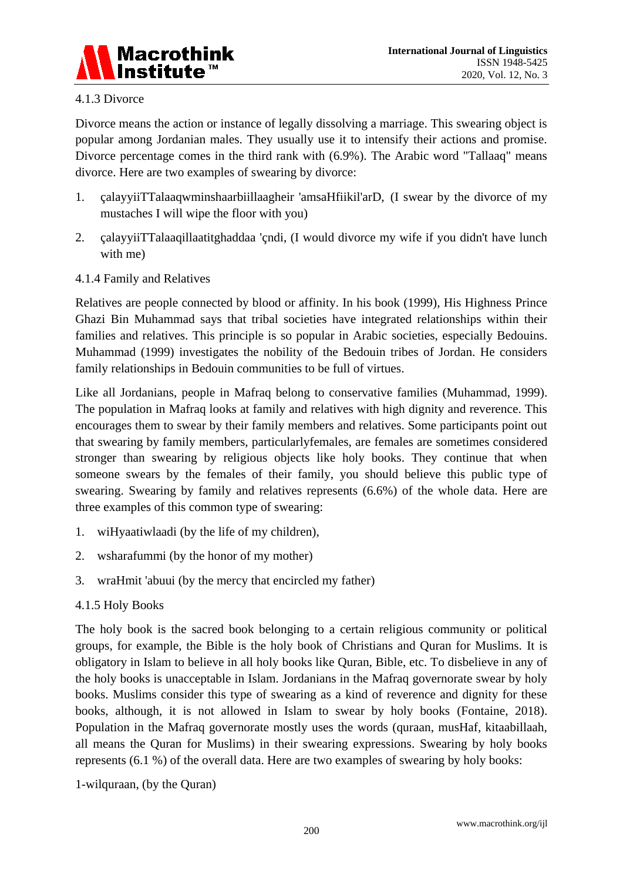

## 4.1.3 Divorce

Divorce means the action or instance of legally dissolving a marriage. This swearing object is popular among Jordanian males. They usually use it to intensify their actions and promise. Divorce percentage comes in the third rank with (6.9%). The Arabic word "Tallaaq" means divorce. Here are two examples of swearing by divorce:

- 1. çalayyiiTTalaaqwminshaarbiillaagheir 'amsaHfiikil'arD, (I swear by the divorce of my mustaches I will wipe the floor with you)
- 2. calayyiiTTalaaqillaatitghaddaa 'qndi, (I would divorce my wife if you didn't have lunch with me)
- 4.1.4 Family and Relatives

Relatives are people connected by blood or affinity. In his book (1999), His Highness Prince Ghazi Bin Muhammad says that tribal societies have integrated relationships within their families and relatives. This principle is so popular in Arabic societies, especially Bedouins. Muhammad (1999) investigates the nobility of the Bedouin tribes of Jordan. He considers family relationships in Bedouin communities to be full of virtues.

Like all Jordanians, people in Mafraq belong to conservative families (Muhammad, 1999). The population in Mafraq looks at family and relatives with high dignity and reverence. This encourages them to swear by their family members and relatives. Some participants point out that swearing by family members, particularlyfemales, are females are sometimes considered stronger than swearing by religious objects like holy books. They continue that when someone swears by the females of their family, you should believe this public type of swearing. Swearing by family and relatives represents (6.6%) of the whole data. Here are three examples of this common type of swearing:

- 1. wiHyaatiwlaadi (by the life of my children),
- 2. wsharafummi (by the honor of my mother)
- 3. wraHmit 'abuui (by the mercy that encircled my father)
- 4.1.5 Holy Books

The holy book is the sacred book belonging to a certain religious community or political groups, for example, the Bible is the holy book of Christians and Quran for Muslims. It is obligatory in Islam to believe in all holy books like Quran, Bible, etc. To disbelieve in any of the holy books is unacceptable in Islam. Jordanians in the Mafraq governorate swear by holy books. Muslims consider this type of swearing as a kind of reverence and dignity for these books, although, it is not allowed in Islam to swear by holy books (Fontaine, 2018). Population in the Mafraq governorate mostly uses the words (quraan, musHaf, kitaabillaah, all means the Quran for Muslims) in their swearing expressions. Swearing by holy books represents (6.1 %) of the overall data. Here are two examples of swearing by holy books:

1-wilquraan, (by the Quran)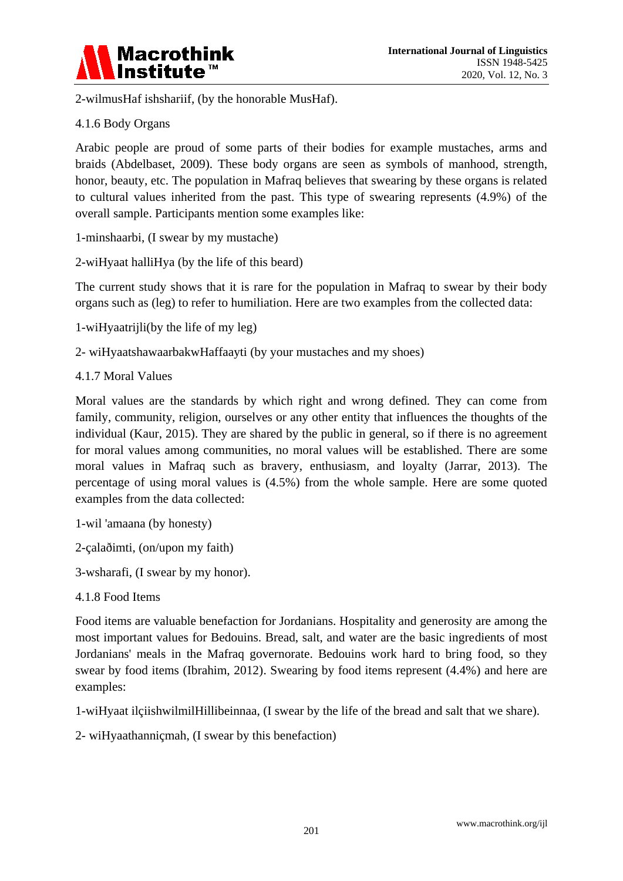

2-wilmusHaf ishshariif, (by the honorable MusHaf).

## 4.1.6 Body Organs

Arabic people are proud of some parts of their bodies for example mustaches, arms and braids (Abdelbaset, 2009). These body organs are seen as symbols of manhood, strength, honor, beauty, etc. The population in Mafraq believes that swearing by these organs is related to cultural values inherited from the past. This type of swearing represents (4.9%) of the overall sample. Participants mention some examples like:

1-minshaarbi, (I swear by my mustache)

2-wiHyaat halliHya (by the life of this beard)

The current study shows that it is rare for the population in Mafraq to swear by their body organs such as (leg) to refer to humiliation. Here are two examples from the collected data:

- 1-wiHyaatrijli(by the life of my leg)
- 2- wiHyaatshawaarbakwHaffaayti (by your mustaches and my shoes)
- 4.1.7 Moral Values

Moral values are the standards by which right and wrong defined. They can come from family, community, religion, ourselves or any other entity that influences the thoughts of the individual (Kaur, 2015). They are shared by the public in general, so if there is no agreement for moral values among communities, no moral values will be established. There are some moral values in Mafraq such as bravery, enthusiasm, and loyalty (Jarrar, 2013). The percentage of using moral values is (4.5%) from the whole sample. Here are some quoted examples from the data collected:

- 1-wil 'amaana (by honesty)
- 2-çalaðimti, (on/upon my faith)
- 3-wsharafi, (I swear by my honor).
- 4.1.8 Food Items

Food items are valuable benefaction for Jordanians. Hospitality and generosity are among the most important values for Bedouins. Bread, salt, and water are the basic ingredients of most Jordanians' meals in the Mafraq governorate. Bedouins work hard to bring food, so they swear by food items (Ibrahim, 2012). Swearing by food items represent (4.4%) and here are examples:

1-wiHyaat ilçiishwilmilHillibeinnaa, (I swear by the life of the bread and salt that we share).

2- wiHyaathanniçmah, (I swear by this benefaction)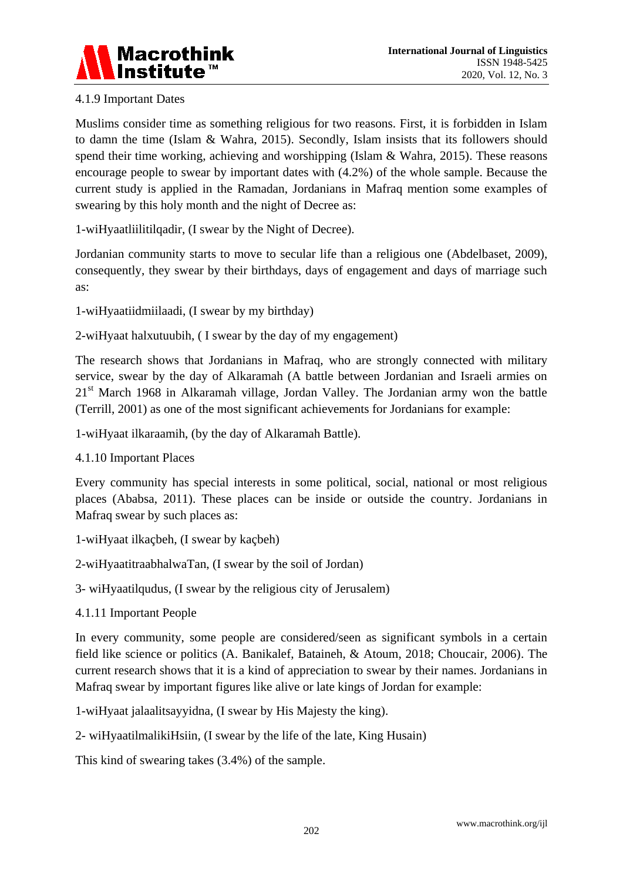

# 4.1.9 Important Dates

Muslims consider time as something religious for two reasons. First, it is forbidden in Islam to damn the time (Islam & Wahra, 2015). Secondly, Islam insists that its followers should spend their time working, achieving and worshipping (Islam & Wahra, 2015). These reasons encourage people to swear by important dates with (4.2%) of the whole sample. Because the current study is applied in the Ramadan, Jordanians in Mafraq mention some examples of swearing by this holy month and the night of Decree as:

1-wiHyaatliilitilqadir, (I swear by the Night of Decree).

Jordanian community starts to move to secular life than a religious one (Abdelbaset, 2009), consequently, they swear by their birthdays, days of engagement and days of marriage such as:

1-wiHyaatiidmiilaadi, (I swear by my birthday)

2-wiHyaat halxutuubih, ( I swear by the day of my engagement)

The research shows that Jordanians in Mafraq, who are strongly connected with military service, swear by the day of Alkaramah (A battle between Jordanian and Israeli armies on 21<sup>st</sup> March 1968 in Alkaramah village, Jordan Valley. The Jordanian army won the battle (Terrill, 2001) as one of the most significant achievements for Jordanians for example:

1-wiHyaat ilkaraamih, (by the day of Alkaramah Battle).

4.1.10 Important Places

Every community has special interests in some political, social, national or most religious places (Ababsa, 2011). These places can be inside or outside the country. Jordanians in Mafraq swear by such places as:

- 1-wiHyaat ilkaçbeh, (I swear by kaçbeh)
- 2-wiHyaatitraabhalwaTan, (I swear by the soil of Jordan)
- 3- wiHyaatilqudus, (I swear by the religious city of Jerusalem)
- 4.1.11 Important People

In every community, some people are considered/seen as significant symbols in a certain field like science or politics (A. Banikalef, Bataineh, & Atoum, 2018; Choucair, 2006). The current research shows that it is a kind of appreciation to swear by their names. Jordanians in Mafraq swear by important figures like alive or late kings of Jordan for example:

1-wiHyaat jalaalitsayyidna, (I swear by His Majesty the king).

2- wiHyaatilmalikiHsiin, (I swear by the life of the late, King Husain)

This kind of swearing takes (3.4%) of the sample.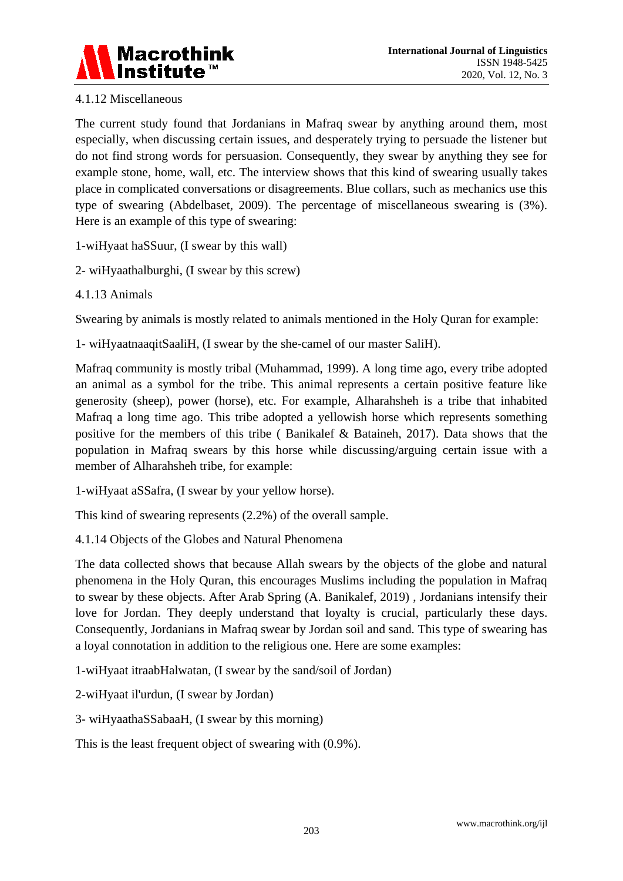

# 4.1.12 Miscellaneous

The current study found that Jordanians in Mafraq swear by anything around them, most especially, when discussing certain issues, and desperately trying to persuade the listener but do not find strong words for persuasion. Consequently, they swear by anything they see for example stone, home, wall, etc. The interview shows that this kind of swearing usually takes place in complicated conversations or disagreements. Blue collars, such as mechanics use this type of swearing (Abdelbaset, 2009). The percentage of miscellaneous swearing is (3%). Here is an example of this type of swearing:

1-wiHyaat haSSuur, (I swear by this wall)

2- wiHyaathalburghi, (I swear by this screw)

4.1.13 Animals

Swearing by animals is mostly related to animals mentioned in the Holy Quran for example:

1- wiHyaatnaaqitSaaliH, (I swear by the she-camel of our master SaliH).

Mafraq community is mostly tribal (Muhammad, 1999). A long time ago, every tribe adopted an animal as a symbol for the tribe. This animal represents a certain positive feature like generosity (sheep), power (horse), etc. For example, Alharahsheh is a tribe that inhabited Mafraq a long time ago. This tribe adopted a yellowish horse which represents something positive for the members of this tribe ( Banikalef & Bataineh, 2017). Data shows that the population in Mafraq swears by this horse while discussing/arguing certain issue with a member of Alharahsheh tribe, for example:

1-wiHyaat aSSafra, (I swear by your yellow horse).

This kind of swearing represents (2.2%) of the overall sample.

4.1.14 Objects of the Globes and Natural Phenomena

The data collected shows that because Allah swears by the objects of the globe and natural phenomena in the Holy Quran, this encourages Muslims including the population in Mafraq to swear by these objects. After Arab Spring (A. Banikalef, 2019) , Jordanians intensify their love for Jordan. They deeply understand that loyalty is crucial, particularly these days. Consequently, Jordanians in Mafraq swear by Jordan soil and sand. This type of swearing has a loyal connotation in addition to the religious one. Here are some examples:

1-wiHyaat itraabHalwatan, (I swear by the sand/soil of Jordan)

2-wiHyaat il'urdun, (I swear by Jordan)

3- wiHyaathaSSabaaH, (I swear by this morning)

This is the least frequent object of swearing with (0.9%).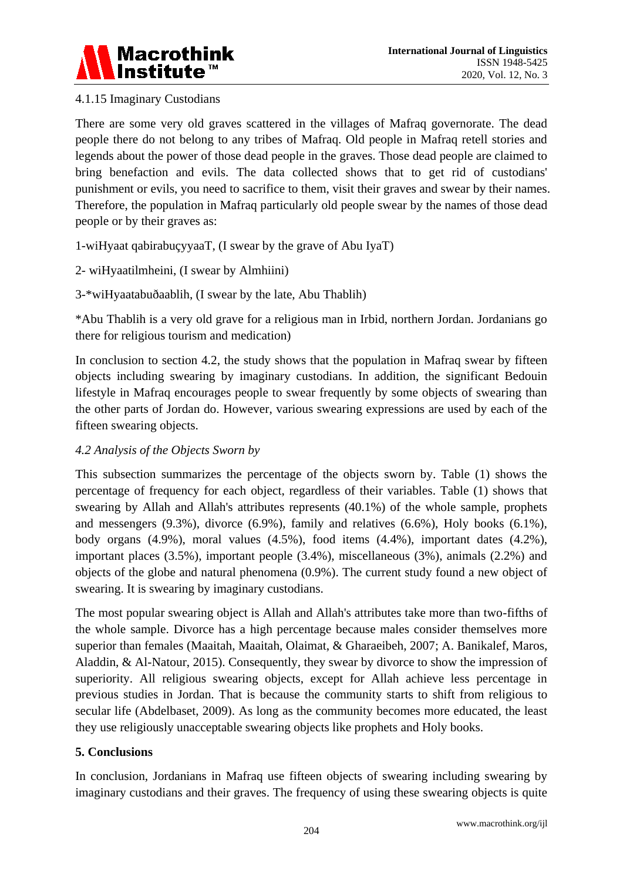

# 4.1.15 Imaginary Custodians

There are some very old graves scattered in the villages of Mafraq governorate. The dead people there do not belong to any tribes of Mafraq. Old people in Mafraq retell stories and legends about the power of those dead people in the graves. Those dead people are claimed to bring benefaction and evils. The data collected shows that to get rid of custodians' punishment or evils, you need to sacrifice to them, visit their graves and swear by their names. Therefore, the population in Mafraq particularly old people swear by the names of those dead people or by their graves as:

1-wiHyaat qabirabuçyyaaT, (I swear by the grave of Abu IyaT)

2- wiHyaatilmheini, (I swear by Almhiini)

3-\*wiHyaatabuðaablih, (I swear by the late, Abu Thablih)

\*Abu Thablih is a very old grave for a religious man in Irbid, northern Jordan. Jordanians go there for religious tourism and medication)

In conclusion to section 4.2, the study shows that the population in Mafraq swear by fifteen objects including swearing by imaginary custodians. In addition, the significant Bedouin lifestyle in Mafraq encourages people to swear frequently by some objects of swearing than the other parts of Jordan do. However, various swearing expressions are used by each of the fifteen swearing objects.

## *4.2 Analysis of the Objects Sworn by*

This subsection summarizes the percentage of the objects sworn by. Table (1) shows the percentage of frequency for each object, regardless of their variables. Table (1) shows that swearing by Allah and Allah's attributes represents (40.1%) of the whole sample, prophets and messengers (9.3%), divorce (6.9%), family and relatives (6.6%), Holy books (6.1%), body organs (4.9%), moral values (4.5%), food items (4.4%), important dates (4.2%), important places (3.5%), important people (3.4%), miscellaneous (3%), animals (2.2%) and objects of the globe and natural phenomena (0.9%). The current study found a new object of swearing. It is swearing by imaginary custodians.

The most popular swearing object is Allah and Allah's attributes take more than two-fifths of the whole sample. Divorce has a high percentage because males consider themselves more superior than females (Maaitah, Maaitah, Olaimat, & Gharaeibeh, 2007; A. Banikalef, Maros, Aladdin, & Al-Natour, 2015). Consequently, they swear by divorce to show the impression of superiority. All religious swearing objects, except for Allah achieve less percentage in previous studies in Jordan. That is because the community starts to shift from religious to secular life (Abdelbaset, 2009). As long as the community becomes more educated, the least they use religiously unacceptable swearing objects like prophets and Holy books.

#### **5. Conclusions**

In conclusion, Jordanians in Mafraq use fifteen objects of swearing including swearing by imaginary custodians and their graves. The frequency of using these swearing objects is quite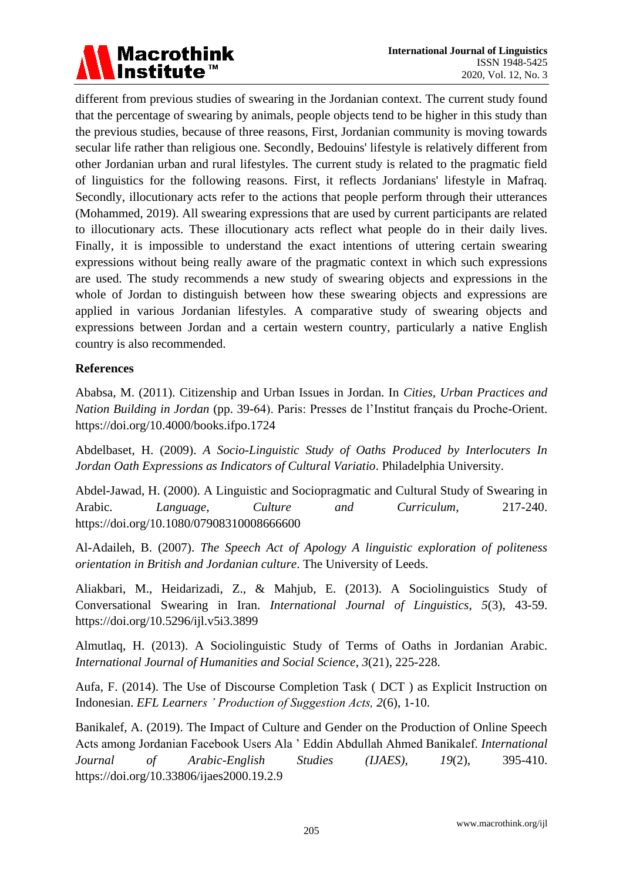

different from previous studies of swearing in the Jordanian context. The current study found that the percentage of swearing by animals, people objects tend to be higher in this study than the previous studies, because of three reasons, First, Jordanian community is moving towards secular life rather than religious one. Secondly, Bedouins' lifestyle is relatively different from other Jordanian urban and rural lifestyles. The current study is related to the pragmatic field of linguistics for the following reasons. First, it reflects Jordanians' lifestyle in Mafraq. Secondly, illocutionary acts refer to the actions that people perform through their utterances (Mohammed, 2019). All swearing expressions that are used by current participants are related to illocutionary acts. These illocutionary acts reflect what people do in their daily lives. Finally, it is impossible to understand the exact intentions of uttering certain swearing expressions without being really aware of the pragmatic context in which such expressions are used. The study recommends a new study of swearing objects and expressions in the whole of Jordan to distinguish between how these swearing objects and expressions are applied in various Jordanian lifestyles. A comparative study of swearing objects and expressions between Jordan and a certain western country, particularly a native English country is also recommended.

#### **References**

Ababsa, M. (2011). Citizenship and Urban Issues in Jordan. In *Cities, Urban Practices and Nation Building in Jordan* (pp. 39-64). Paris: Presses de l'Institut français du Proche-Orient. https://doi.org/10.4000/books.ifpo.1724

Abdelbaset, H. (2009). *A Socio-Linguistic Study of Oaths Produced by Interlocuters In Jordan Oath Expressions as Indicators of Cultural Variatio*. Philadelphia University.

Abdel-Jawad, H. (2000). A Linguistic and Sociopragmatic and Cultural Study of Swearing in Arabic. *Language, Culture and Curriculum*, 217-240. https://doi.org/10.1080/07908310008666600

Al-Adaileh, B. (2007). *The Speech Act of Apology A linguistic exploration of politeness orientation in British and Jordanian culture*. The University of Leeds.

Aliakbari, M., Heidarizadi, Z., & Mahjub, E. (2013). A Sociolinguistics Study of Conversational Swearing in Iran. *International Journal of Linguistics*, *5*(3), 43-59. https://doi.org/10.5296/ijl.v5i3.3899

Almutlaq, H. (2013). A Sociolinguistic Study of Terms of Oaths in Jordanian Arabic. *International Journal of Humanities and Social Science*, *3*(21), 225-228.

Aufa, F. (2014). The Use of Discourse Completion Task ( DCT ) as Explicit Instruction on Indonesian. *EFL Learners ' Production of Suggestion Acts, 2*(6), 1-10.

Banikalef, A. (2019). The Impact of Culture and Gender on the Production of Online Speech Acts among Jordanian Facebook Users Ala ' Eddin Abdullah Ahmed Banikalef. *International Journal of Arabic-English Studies (IJAES)*, *19*(2), 395-410. https://doi.org/10.33806/ijaes2000.19.2.9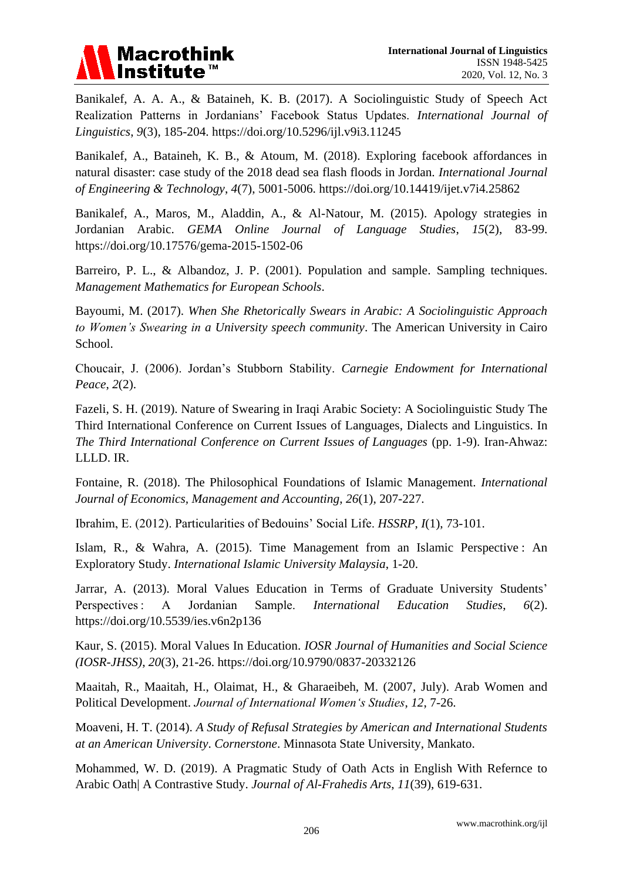

Banikalef, A. A. A., & Bataineh, K. B. (2017). A Sociolinguistic Study of Speech Act Realization Patterns in Jordanians' Facebook Status Updates. *International Journal of Linguistics*, *9*(3), 185-204. https://doi.org/10.5296/ijl.v9i3.11245

Banikalef, A., Bataineh, K. B., & Atoum, M. (2018). Exploring facebook affordances in natural disaster: case study of the 2018 dead sea flash floods in Jordan. *International Journal of Engineering & Technology*, *4*(7), 5001-5006. https://doi.org/10.14419/ijet.v7i4.25862

Banikalef, A., Maros, M., Aladdin, A., & Al-Natour, M. (2015). Apology strategies in Jordanian Arabic. *GEMA Online Journal of Language Studies*, *15*(2), 83-99. https://doi.org/10.17576/gema-2015-1502-06

Barreiro, P. L., & Albandoz, J. P. (2001). Population and sample. Sampling techniques. *Management Mathematics for European Schools*.

Bayoumi, M. (2017). *When She Rhetorically Swears in Arabic: A Sociolinguistic Approach to Women's Swearing in a University speech community*. The American University in Cairo School.

Choucair, J. (2006). Jordan's Stubborn Stability. *Carnegie Endowment for International Peace*, *2*(2).

Fazeli, S. H. (2019). Nature of Swearing in Iraqi Arabic Society: A Sociolinguistic Study The Third International Conference on Current Issues of Languages, Dialects and Linguistics. In *The Third International Conference on Current Issues of Languages* (pp. 1-9). Iran-Ahwaz: LLLD. IR.

Fontaine, R. (2018). The Philosophical Foundations of Islamic Management. *International Journal of Economics, Management and Accounting*, *26*(1), 207-227.

Ibrahim, E. (2012). Particularities of Bedouins' Social Life. *HSSRP*, *I*(1), 73-101.

Islam, R., & Wahra, A. (2015). Time Management from an Islamic Perspective : An Exploratory Study. *International Islamic University Malaysia*, 1-20.

Jarrar, A. (2013). Moral Values Education in Terms of Graduate University Students' Perspectives : A Jordanian Sample. *International Education Studies*, *6*(2). https://doi.org/10.5539/ies.v6n2p136

Kaur, S. (2015). Moral Values In Education. *IOSR Journal of Humanities and Social Science (IOSR-JHSS)*, *20*(3), 21-26. https://doi.org/10.9790/0837-20332126

Maaitah, R., Maaitah, H., Olaimat, H., & Gharaeibeh, M. (2007, July). Arab Women and Political Development. *Journal of International Women's Studies*, *12*, 7-26.

Moaveni, H. T. (2014). *A Study of Refusal Strategies by American and International Students at an American University*. *Cornerstone*. Minnasota State University, Mankato.

Mohammed, W. D. (2019). A Pragmatic Study of Oath Acts in English With Refernce to Arabic Oath| A Contrastive Study. *Journal of Al-Frahedis Arts*, *11*(39), 619-631.